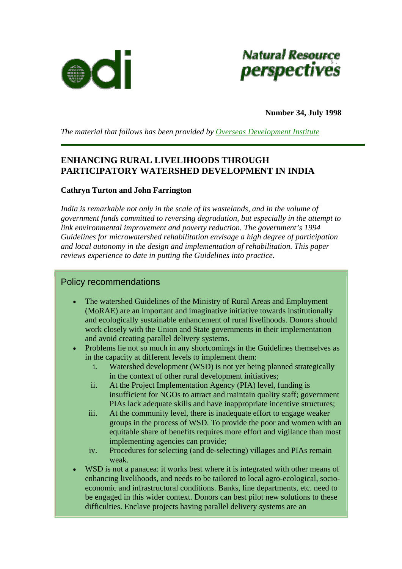



**Number 34, July 1998** 

*The material that follows has been provided by [Overseas Development Institute](http://www.odi.org.uk/index.html)*

## **ENHANCING RURAL LIVELIHOODS THROUGH PARTICIPATORY WATERSHED DEVELOPMENT IN INDIA**

### **Cathryn Turton and John Farrington**

*India is remarkable not only in the scale of its wastelands, and in the volume of government funds committed to reversing degradation, but especially in the attempt to link environmental improvement and poverty reduction. The government's 1994 Guidelines for microwatershed rehabilitation envisage a high degree of participation and local autonomy in the design and implementation of rehabilitation. This paper reviews experience to date in putting the Guidelines into practice.* 

### Policy recommendations

- The watershed Guidelines of the Ministry of Rural Areas and Employment (MoRAE) are an important and imaginative initiative towards institutionally and ecologically sustainable enhancement of rural livelihoods. Donors should work closely with the Union and State governments in their implementation and avoid creating parallel delivery systems.
- Problems lie not so much in any shortcomings in the Guidelines themselves as in the capacity at different levels to implement them:
	- i. Watershed development (WSD) is not yet being planned strategically in the context of other rural development initiatives;
	- ii. At the Project Implementation Agency (PIA) level, funding is insufficient for NGOs to attract and maintain quality staff; government PIAs lack adequate skills and have inappropriate incentive structures;
	- iii. At the community level, there is inadequate effort to engage weaker groups in the process of WSD. To provide the poor and women with an equitable share of benefits requires more effort and vigilance than most implementing agencies can provide;
	- iv. Procedures for selecting (and de-selecting) villages and PIAs remain weak.
- WSD is not a panacea: it works best where it is integrated with other means of enhancing livelihoods, and needs to be tailored to local agro-ecological, socioeconomic and infrastructural conditions. Banks, line departments, etc. need to be engaged in this wider context. Donors can best pilot new solutions to these difficulties. Enclave projects having parallel delivery systems are an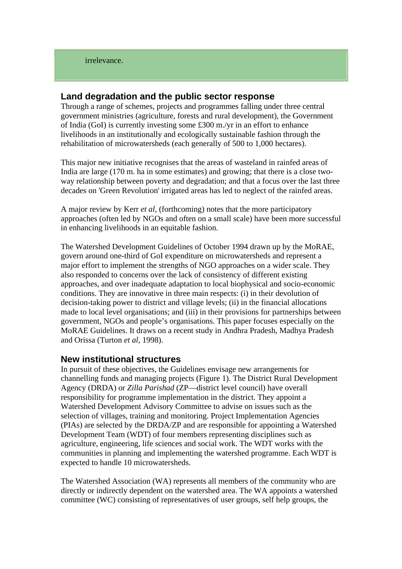## **Land degradation and the public sector response**

Through a range of schemes, projects and programmes falling under three central government ministries (agriculture, forests and rural development), the Government of India (GoI) is currently investing some £300 m./yr in an effort to enhance livelihoods in an institutionally and ecologically sustainable fashion through the rehabilitation of microwatersheds (each generally of 500 to 1,000 hectares).

This major new initiative recognises that the areas of wasteland in rainfed areas of India are large (170 m. ha in some estimates) and growing; that there is a close twoway relationship between poverty and degradation; and that a focus over the last three decades on 'Green Revolution' irrigated areas has led to neglect of the rainfed areas.

A major review by Kerr *et al*, (forthcoming) notes that the more participatory approaches (often led by NGOs and often on a small scale) have been more successful in enhancing livelihoods in an equitable fashion.

The Watershed Development Guidelines of October 1994 drawn up by the MoRAE, govern around one-third of GoI expenditure on microwatersheds and represent a major effort to implement the strengths of NGO approaches on a wider scale. They also responded to concerns over the lack of consistency of different existing approaches, and over inadequate adaptation to local biophysical and socio-economic conditions. They are innovative in three main respects: (i) in their devolution of decision-taking power to district and village levels; (ii) in the financial allocations made to local level organisations; and (iii) in their provisions for partnerships between government, NGOs and people's organisations. This paper focuses especially on the MoRAE Guidelines. It draws on a recent study in Andhra Pradesh, Madhya Pradesh and Orissa (Turton *et al*, 1998).

## **New institutional structures**

In pursuit of these objectives, the Guidelines envisage new arrangements for channelling funds and managing projects (Figure 1). The District Rural Development Agency (DRDA) or *Zilla Parishad* (ZP—district level council) have overall responsibility for programme implementation in the district. They appoint a Watershed Development Advisory Committee to advise on issues such as the selection of villages, training and monitoring. Project Implementation Agencies (PIAs) are selected by the DRDA/ZP and are responsible for appointing a Watershed Development Team (WDT) of four members representing disciplines such as agriculture, engineering, life sciences and social work. The WDT works with the communities in planning and implementing the watershed programme. Each WDT is expected to handle 10 microwatersheds.

The Watershed Association (WA) represents all members of the community who are directly or indirectly dependent on the watershed area. The WA appoints a watershed committee (WC) consisting of representatives of user groups, self help groups, the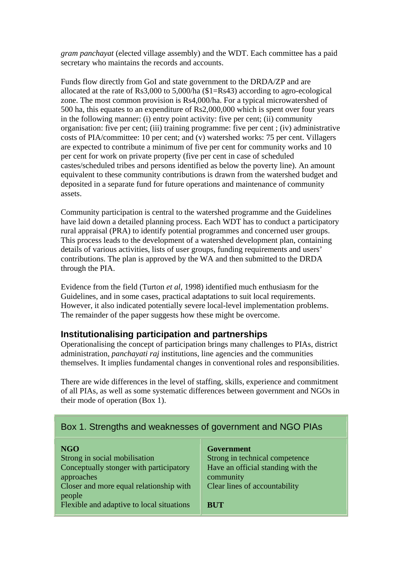*gram panchayat* (elected village assembly) and the WDT. Each committee has a paid secretary who maintains the records and accounts.

Funds flow directly from GoI and state government to the DRDA/ZP and are allocated at the rate of Rs3,000 to 5,000/ha (\$1=Rs43) according to agro-ecological zone. The most common provision is Rs4,000/ha. For a typical microwatershed of 500 ha, this equates to an expenditure of Rs2,000,000 which is spent over four years in the following manner: (i) entry point activity: five per cent; (ii) community organisation: five per cent; (iii) training programme: five per cent ; (iv) administrative costs of PIA/committee: 10 per cent; and (v) watershed works: 75 per cent. Villagers are expected to contribute a minimum of five per cent for community works and 10 per cent for work on private property (five per cent in case of scheduled castes/scheduled tribes and persons identified as below the poverty line). An amount equivalent to these community contributions is drawn from the watershed budget and deposited in a separate fund for future operations and maintenance of community assets.

Community participation is central to the watershed programme and the Guidelines have laid down a detailed planning process. Each WDT has to conduct a participatory rural appraisal (PRA) to identify potential programmes and concerned user groups. This process leads to the development of a watershed development plan, containing details of various activities, lists of user groups, funding requirements and users' contributions. The plan is approved by the WA and then submitted to the DRDA through the PIA.

Evidence from the field (Turton *et al*, 1998) identified much enthusiasm for the Guidelines, and in some cases, practical adaptations to suit local requirements. However, it also indicated potentially severe local-level implementation problems. The remainder of the paper suggests how these might be overcome.

## **Institutionalising participation and partnerships**

Operationalising the concept of participation brings many challenges to PIAs, district administration, *panchayati raj* institutions, line agencies and the communities themselves. It implies fundamental changes in conventional roles and responsibilities.

There are wide differences in the level of staffing, skills, experience and commitment of all PIAs, as well as some systematic differences between government and NGOs in their mode of operation (Box 1).

# Box 1. Strengths and weaknesses of government and NGO PIAs

| <b>NGO</b>                                | <b>Government</b>                  |
|-------------------------------------------|------------------------------------|
| Strong in social mobilisation             | Strong in technical competence     |
| Conceptually stonger with participatory   | Have an official standing with the |
| approaches                                | community                          |
| Closer and more equal relationship with   | Clear lines of accountability      |
| people                                    |                                    |
| Flexible and adaptive to local situations | <b>BUT</b>                         |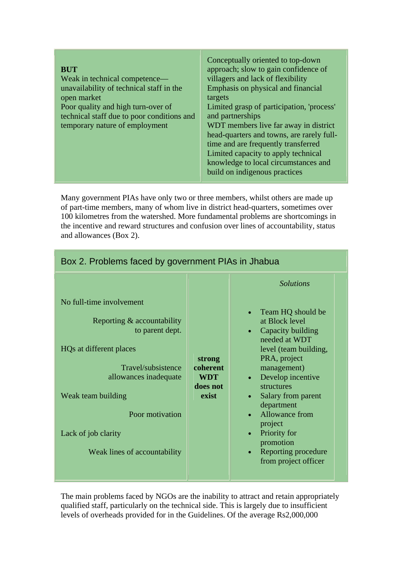| <b>BUT</b><br>Weak in technical competence—<br>unavailability of technical staff in the<br>open market<br>Poor quality and high turn-over of<br>technical staff due to poor conditions and<br>temporary nature of employment | Conceptually oriented to top-down<br>approach; slow to gain confidence of<br>villagers and lack of flexibility<br>Emphasis on physical and financial<br>targets<br>Limited grasp of participation, 'process'<br>and partnerships<br>WDT members live far away in district<br>head-quarters and towns, are rarely full-<br>time and are frequently transferred<br>Limited capacity to apply technical<br>knowledge to local circumstances and<br>build on indigenous practices |
|------------------------------------------------------------------------------------------------------------------------------------------------------------------------------------------------------------------------------|-------------------------------------------------------------------------------------------------------------------------------------------------------------------------------------------------------------------------------------------------------------------------------------------------------------------------------------------------------------------------------------------------------------------------------------------------------------------------------|
|                                                                                                                                                                                                                              |                                                                                                                                                                                                                                                                                                                                                                                                                                                                               |

Many government PIAs have only two or three members, whilst others are made up of part-time members, many of whom live in district head-quarters, sometimes over 100 kilometres from the watershed. More fundamental problems are shortcomings in the incentive and reward structures and confusion over lines of accountability, status and allowances (Box 2).

| DUX Z. PTUDIBITIS TACBU DY GOVBITITIBITI PIAS III JITADUA                                                                                                                                                                                             |                                                       |                                                                                                                                                                                                                                                                                                                                                                 |
|-------------------------------------------------------------------------------------------------------------------------------------------------------------------------------------------------------------------------------------------------------|-------------------------------------------------------|-----------------------------------------------------------------------------------------------------------------------------------------------------------------------------------------------------------------------------------------------------------------------------------------------------------------------------------------------------------------|
| No full-time involvement<br>Reporting $&$ accountability<br>to parent dept.<br>HQs at different places<br>Travel/subsistence<br>allowances inadequate<br>Weak team building<br>Poor motivation<br>Lack of job clarity<br>Weak lines of accountability | strong<br>coherent<br><b>WDT</b><br>does not<br>exist | <b>Solutions</b><br>Team HQ should be<br>at Block level<br>Capacity building<br>needed at WDT<br>level (team building,<br>PRA, project<br>management)<br>Develop incentive<br>structures<br>Salary from parent<br>$\bullet$<br>department<br>Allowance from<br>project<br>Priority for<br>$\bullet$<br>promotion<br>Reporting procedure<br>from project officer |
|                                                                                                                                                                                                                                                       |                                                       |                                                                                                                                                                                                                                                                                                                                                                 |

Box 2. Problems faced by government PIAs in Jhabua

The main problems faced by NGOs are the inability to attract and retain appropriately qualified staff, particularly on the technical side. This is largely due to insufficient levels of overheads provided for in the Guidelines. Of the average Rs2,000,000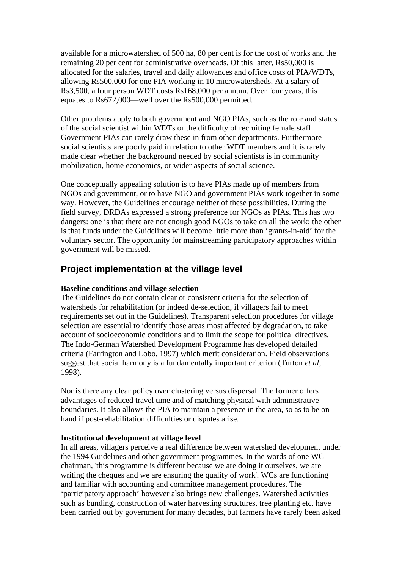available for a microwatershed of 500 ha, 80 per cent is for the cost of works and the remaining 20 per cent for administrative overheads. Of this latter, Rs50,000 is allocated for the salaries, travel and daily allowances and office costs of PIA/WDTs, allowing Rs500,000 for one PIA working in 10 microwatersheds. At a salary of Rs3,500, a four person WDT costs Rs168,000 per annum. Over four years, this equates to Rs672,000—well over the Rs500,000 permitted.

Other problems apply to both government and NGO PIAs, such as the role and status of the social scientist within WDTs or the difficulty of recruiting female staff. Government PIAs can rarely draw these in from other departments. Furthermore social scientists are poorly paid in relation to other WDT members and it is rarely made clear whether the background needed by social scientists is in community mobilization, home economics, or wider aspects of social science.

One conceptually appealing solution is to have PIAs made up of members from NGOs and government, or to have NGO and government PIAs work together in some way. However, the Guidelines encourage neither of these possibilities. During the field survey, DRDAs expressed a strong preference for NGOs as PIAs. This has two dangers: one is that there are not enough good NGOs to take on all the work; the other is that funds under the Guidelines will become little more than 'grants-in-aid' for the voluntary sector. The opportunity for mainstreaming participatory approaches within government will be missed.

## **Project implementation at the village level**

### **Baseline conditions and village selection**

The Guidelines do not contain clear or consistent criteria for the selection of watersheds for rehabilitation (or indeed de-selection, if villagers fail to meet requirements set out in the Guidelines). Transparent selection procedures for village selection are essential to identify those areas most affected by degradation, to take account of socioeconomic conditions and to limit the scope for political directives. The Indo-German Watershed Development Programme has developed detailed criteria (Farrington and Lobo, 1997) which merit consideration. Field observations suggest that social harmony is a fundamentally important criterion (Turton *et al*, 1998).

Nor is there any clear policy over clustering versus dispersal. The former offers advantages of reduced travel time and of matching physical with administrative boundaries. It also allows the PIA to maintain a presence in the area, so as to be on hand if post-rehabilitation difficulties or disputes arise.

### **Institutional development at village level**

In all areas, villagers perceive a real difference between watershed development under the 1994 Guidelines and other government programmes. In the words of one WC chairman, 'this programme is different because we are doing it ourselves, we are writing the cheques and we are ensuring the quality of work'. WCs are functioning and familiar with accounting and committee management procedures. The 'participatory approach' however also brings new challenges. Watershed activities such as bunding, construction of water harvesting structures, tree planting etc. have been carried out by government for many decades, but farmers have rarely been asked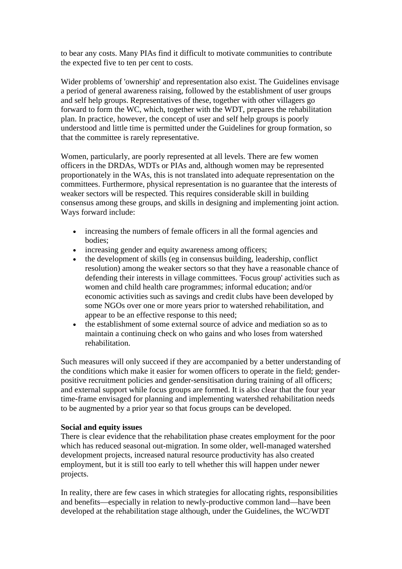to bear any costs. Many PIAs find it difficult to motivate communities to contribute the expected five to ten per cent to costs.

Wider problems of 'ownership' and representation also exist. The Guidelines envisage a period of general awareness raising, followed by the establishment of user groups and self help groups. Representatives of these, together with other villagers go forward to form the WC, which, together with the WDT, prepares the rehabilitation plan. In practice, however, the concept of user and self help groups is poorly understood and little time is permitted under the Guidelines for group formation, so that the committee is rarely representative.

Women, particularly, are poorly represented at all levels. There are few women officers in the DRDAs, WDTs or PIAs and, although women may be represented proportionately in the WAs, this is not translated into adequate representation on the committees. Furthermore, physical representation is no guarantee that the interests of weaker sectors will be respected. This requires considerable skill in building consensus among these groups, and skills in designing and implementing joint action. Ways forward include:

- increasing the numbers of female officers in all the formal agencies and bodies;
- increasing gender and equity awareness among officers;
- the development of skills (eg in consensus building, leadership, conflict resolution) among the weaker sectors so that they have a reasonable chance of defending their interests in village committees. 'Focus group' activities such as women and child health care programmes; informal education; and/or economic activities such as savings and credit clubs have been developed by some NGOs over one or more years prior to watershed rehabilitation, and appear to be an effective response to this need;
- the establishment of some external source of advice and mediation so as to maintain a continuing check on who gains and who loses from watershed rehabilitation.

Such measures will only succeed if they are accompanied by a better understanding of the conditions which make it easier for women officers to operate in the field; genderpositive recruitment policies and gender-sensitisation during training of all officers; and external support while focus groups are formed. It is also clear that the four year time-frame envisaged for planning and implementing watershed rehabilitation needs to be augmented by a prior year so that focus groups can be developed.

### **Social and equity issues**

There is clear evidence that the rehabilitation phase creates employment for the poor which has reduced seasonal out-migration. In some older, well-managed watershed development projects, increased natural resource productivity has also created employment, but it is still too early to tell whether this will happen under newer projects.

In reality, there are few cases in which strategies for allocating rights, responsibilities and benefits—especially in relation to newly-productive common land—have been developed at the rehabilitation stage although, under the Guidelines, the WC/WDT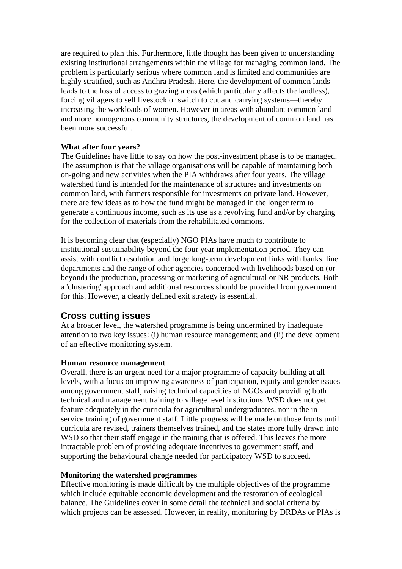are required to plan this. Furthermore, little thought has been given to understanding existing institutional arrangements within the village for managing common land. The problem is particularly serious where common land is limited and communities are highly stratified, such as Andhra Pradesh. Here, the development of common lands leads to the loss of access to grazing areas (which particularly affects the landless), forcing villagers to sell livestock or switch to cut and carrying systems—thereby increasing the workloads of women. However in areas with abundant common land and more homogenous community structures, the development of common land has been more successful.

### **What after four years?**

The Guidelines have little to say on how the post-investment phase is to be managed. The assumption is that the village organisations will be capable of maintaining both on-going and new activities when the PIA withdraws after four years. The village watershed fund is intended for the maintenance of structures and investments on common land, with farmers responsible for investments on private land. However, there are few ideas as to how the fund might be managed in the longer term to generate a continuous income, such as its use as a revolving fund and/or by charging for the collection of materials from the rehabilitated commons.

It is becoming clear that (especially) NGO PIAs have much to contribute to institutional sustainability beyond the four year implementation period. They can assist with conflict resolution and forge long-term development links with banks, line departments and the range of other agencies concerned with livelihoods based on (or beyond) the production, processing or marketing of agricultural or NR products. Both a 'clustering' approach and additional resources should be provided from government for this. However, a clearly defined exit strategy is essential.

## **Cross cutting issues**

At a broader level, the watershed programme is being undermined by inadequate attention to two key issues: (i) human resource management; and (ii) the development of an effective monitoring system.

#### **Human resource management**

Overall, there is an urgent need for a major programme of capacity building at all levels, with a focus on improving awareness of participation, equity and gender issues among government staff, raising technical capacities of NGOs and providing both technical and management training to village level institutions. WSD does not yet feature adequately in the curricula for agricultural undergraduates, nor in the inservice training of government staff. Little progress will be made on those fronts until curricula are revised, trainers themselves trained, and the states more fully drawn into WSD so that their staff engage in the training that is offered. This leaves the more intractable problem of providing adequate incentives to government staff, and supporting the behavioural change needed for participatory WSD to succeed.

#### **Monitoring the watershed programmes**

Effective monitoring is made difficult by the multiple objectives of the programme which include equitable economic development and the restoration of ecological balance. The Guidelines cover in some detail the technical and social criteria by which projects can be assessed. However, in reality, monitoring by DRDAs or PIAs is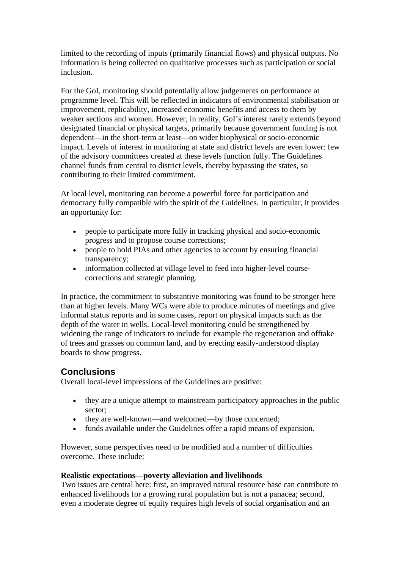limited to the recording of inputs (primarily financial flows) and physical outputs. No information is being collected on qualitative processes such as participation or social inclusion.

For the GoI, monitoring should potentially allow judgements on performance at programme level. This will be reflected in indicators of environmental stabilisation or improvement, replicability, increased economic benefits and access to them by weaker sections and women. However, in reality, GoI's interest rarely extends beyond designated financial or physical targets, primarily because government funding is not dependent—in the short-term at least—on wider biophysical or socio-economic impact. Levels of interest in monitoring at state and district levels are even lower: few of the advisory committees created at these levels function fully. The Guidelines channel funds from central to district levels, thereby bypassing the states, so contributing to their limited commitment.

At local level, monitoring can become a powerful force for participation and democracy fully compatible with the spirit of the Guidelines. In particular, it provides an opportunity for:

- people to participate more fully in tracking physical and socio-economic progress and to propose course corrections;
- people to hold PIAs and other agencies to account by ensuring financial transparency;
- information collected at village level to feed into higher-level coursecorrections and strategic planning.

In practice, the commitment to substantive monitoring was found to be stronger here than at higher levels. Many WCs were able to produce minutes of meetings and give informal status reports and in some cases, report on physical impacts such as the depth of the water in wells. Local-level monitoring could be strengthened by widening the range of indicators to include for example the regeneration and offtake of trees and grasses on common land, and by erecting easily-understood display boards to show progress.

# **Conclusions**

Overall local-level impressions of the Guidelines are positive:

- they are a unique attempt to mainstream participatory approaches in the public sector;
- they are well-known—and welcomed—by those concerned:
- funds available under the Guidelines offer a rapid means of expansion.

However, some perspectives need to be modified and a number of difficulties overcome. These include:

### **Realistic expectations—poverty alleviation and livelihoods**

Two issues are central here: first, an improved natural resource base can contribute to enhanced livelihoods for a growing rural population but is not a panacea; second, even a moderate degree of equity requires high levels of social organisation and an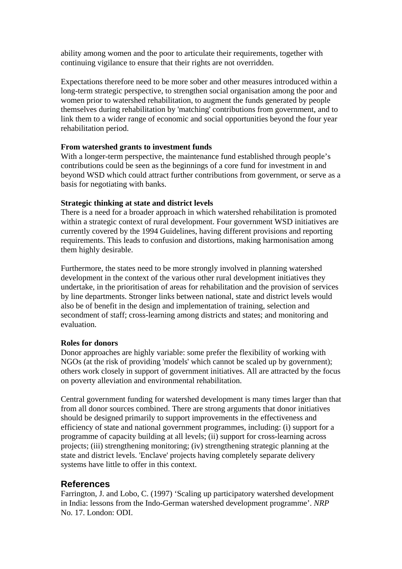ability among women and the poor to articulate their requirements, together with continuing vigilance to ensure that their rights are not overridden.

Expectations therefore need to be more sober and other measures introduced within a long-term strategic perspective, to strengthen social organisation among the poor and women prior to watershed rehabilitation, to augment the funds generated by people themselves during rehabilitation by 'matching' contributions from government, and to link them to a wider range of economic and social opportunities beyond the four year rehabilitation period.

### **From watershed grants to investment funds**

With a longer-term perspective, the maintenance fund established through people's contributions could be seen as the beginnings of a core fund for investment in and beyond WSD which could attract further contributions from government, or serve as a basis for negotiating with banks.

### **Strategic thinking at state and district levels**

There is a need for a broader approach in which watershed rehabilitation is promoted within a strategic context of rural development. Four government WSD initiatives are currently covered by the 1994 Guidelines, having different provisions and reporting requirements. This leads to confusion and distortions, making harmonisation among them highly desirable.

Furthermore, the states need to be more strongly involved in planning watershed development in the context of the various other rural development initiatives they undertake, in the prioritisation of areas for rehabilitation and the provision of services by line departments. Stronger links between national, state and district levels would also be of benefit in the design and implementation of training, selection and secondment of staff; cross-learning among districts and states; and monitoring and evaluation.

### **Roles for donors**

Donor approaches are highly variable: some prefer the flexibility of working with NGOs (at the risk of providing 'models' which cannot be scaled up by government); others work closely in support of government initiatives. All are attracted by the focus on poverty alleviation and environmental rehabilitation.

Central government funding for watershed development is many times larger than that from all donor sources combined. There are strong arguments that donor initiatives should be designed primarily to support improvements in the effectiveness and efficiency of state and national government programmes, including: (i) support for a programme of capacity building at all levels; (ii) support for cross-learning across projects; (iii) strengthening monitoring; (iv) strengthening strategic planning at the state and district levels. 'Enclave' projects having completely separate delivery systems have little to offer in this context.

## **References**

Farrington, J. and Lobo, C. (1997) 'Scaling up participatory watershed development in India: lessons from the Indo-German watershed development programme'. *NRP*  No. 17. London: ODI.